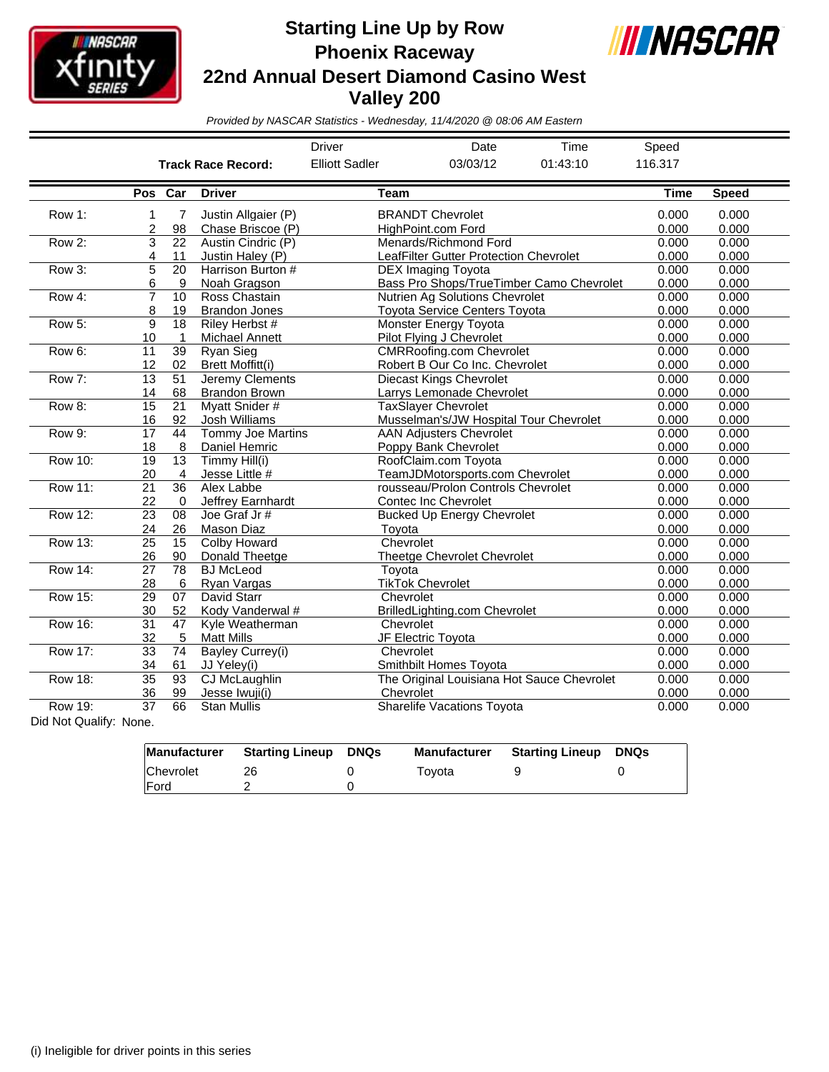

## **Starting Line Up by Row Phoenix Raceway 22nd Annual Desert Diamond Casino West Valley 200**



*Provided by NASCAR Statistics - Wednesday, 11/4/2020 @ 08:06 AM Eastern*

|                                                           |                 |                 |                           | <b>Driver</b>         | Date                                       | Time     | Speed          |              |
|-----------------------------------------------------------|-----------------|-----------------|---------------------------|-----------------------|--------------------------------------------|----------|----------------|--------------|
|                                                           |                 |                 | <b>Track Race Record:</b> | <b>Elliott Sadler</b> | 03/03/12                                   | 01:43:10 | 116.317        |              |
|                                                           | Pos Car         |                 | <b>Driver</b>             | Team                  |                                            |          | <b>Time</b>    | <b>Speed</b> |
| Row 1:                                                    | 1               | 7               | Justin Allgaier (P)       |                       | <b>BRANDT Chevrolet</b>                    |          | 0.000          | 0.000        |
|                                                           | $\overline{c}$  | 98              | Chase Briscoe (P)         |                       | HighPoint.com Ford                         |          | 0.000          | 0.000        |
| Row 2:                                                    | 3               | 22              | Austin Cindric (P)        |                       | Menards/Richmond Ford                      |          | 0.000          | 0.000        |
|                                                           | 4               | 11              | Justin Haley (P)          |                       | LeafFilter Gutter Protection Chevrolet     |          |                | 0.000        |
| Row 3:                                                    | 5               | 20              | Harrison Burton #         |                       | <b>DEX Imaging Toyota</b>                  |          | 0.000<br>0.000 | 0.000        |
|                                                           | 6               | 9               | Noah Gragson              |                       | Bass Pro Shops/TrueTimber Camo Chevrolet   | 0.000    | 0.000          |              |
| Row 4:                                                    | $\overline{7}$  | 10              | Ross Chastain             |                       | Nutrien Ag Solutions Chevrolet             |          | 0.000          | 0.000        |
|                                                           | 8               | 19              | <b>Brandon Jones</b>      |                       | Toyota Service Centers Toyota              | 0.000    | 0.000          |              |
| Row 5:                                                    | 9               | 18              | Riley Herbst #            |                       | <b>Monster Energy Toyota</b>               |          |                | 0.000        |
|                                                           | 10              | 1               | <b>Michael Annett</b>     |                       | Pilot Flying J Chevrolet                   |          | 0.000          | 0.000        |
| Row 6:                                                    | 11              | 39              | <b>Ryan Sieg</b>          |                       | <b>CMRRoofing.com Chevrolet</b>            |          | 0.000          | 0.000        |
|                                                           | 12              | 02              | Brett Moffitt(i)          |                       | Robert B Our Co Inc. Chevrolet             |          | 0.000          | 0.000        |
| Row 7:                                                    | 13              | 51              | Jeremy Clements           |                       | <b>Diecast Kings Chevrolet</b>             |          | 0.000          | 0.000        |
|                                                           | 14              | 68              | <b>Brandon Brown</b>      |                       | Larrys Lemonade Chevrolet                  |          | 0.000          | 0.000        |
| Row 8:                                                    | 15              | $\overline{21}$ | <b>Myatt Snider#</b>      |                       | <b>TaxSlayer Chevrolet</b>                 |          | 0.000          | 0.000        |
|                                                           | 16              | 92              | Josh Williams             |                       | Musselman's/JW Hospital Tour Chevrolet     |          | 0.000          | 0.000        |
| Row 9:                                                    | 17              | 44              | Tommy Joe Martins         |                       | <b>AAN Adjusters Chevrolet</b>             |          | 0.000          | 0.000        |
|                                                           | 18              | 8               | Daniel Hemric             |                       | Poppy Bank Chevrolet                       |          | 0.000          | 0.000        |
| <b>Row 10:</b>                                            | 19              | 13              | Timmy Hill(i)             |                       | RoofClaim.com Toyota                       |          | 0.000          | 0.000        |
|                                                           | 20              | 4               | Jesse Little #            |                       | TeamJDMotorsports.com Chevrolet            |          | 0.000          | 0.000        |
| Row 11:                                                   | 21              | 36              | Alex Labbe                |                       | rousseau/Prolon Controls Chevrolet         |          | 0.000          | 0.000        |
|                                                           | 22              | $\Omega$        | Jeffrey Earnhardt         |                       | <b>Contec Inc Chevrolet</b>                |          | 0.000          | 0.000        |
| Row 12:                                                   | 23              | 08              | Joe Graf Jr#              |                       | <b>Bucked Up Energy Chevrolet</b>          |          | 0.000          | 0.000        |
|                                                           | 24              | 26              | Mason Diaz                | Toyota                |                                            |          | 0.000          | 0.000        |
| Row 13:                                                   | $\overline{25}$ | $\overline{15}$ | <b>Colby Howard</b>       |                       | Chevrolet                                  |          | 0.000          | 0.000        |
|                                                           | 26              | 90              | Donald Theetge            |                       | <b>Theetge Chevrolet Chevrolet</b>         |          | 0.000          | 0.000        |
| Row 14:                                                   | 27              | 78              | <b>BJ</b> McLeod          | Toyota                |                                            |          | 0.000          | 0.000        |
|                                                           | 28              | 6               | Rvan Vargas               |                       | <b>TikTok Chevrolet</b>                    |          | 0.000          | 0.000        |
| <b>Row 15:</b>                                            | 29              | 07              | David Starr               |                       | Chevrolet                                  |          | 0.000          | 0.000        |
|                                                           | 30              | 52              | Kody Vanderwal #          |                       | BrilledLighting.com Chevrolet              |          | 0.000          | 0.000        |
| <b>Row 16:</b>                                            | 31              | 47              | Kyle Weatherman           |                       | Chevrolet                                  |          | 0.000          | 0.000        |
|                                                           | 32              | 5               | <b>Matt Mills</b>         |                       | JF Electric Toyota                         |          | 0.000          | 0.000        |
| Row 17:                                                   | $\overline{33}$ | 74              | Bayley Currey(i)          |                       | Chevrolet                                  |          | 0.000          | 0.000        |
|                                                           | 34              | 61              | JJ Yeley(i)               |                       | Smithbilt Homes Toyota                     |          | 0.000          | 0.000        |
| <b>Row 18:</b>                                            | $\overline{35}$ | 93              | CJ McLaughlin             |                       | The Original Louisiana Hot Sauce Chevrolet |          | 0.000          | 0.000        |
|                                                           | 36              | 99              | Jesse Iwuji(i)            |                       | Chevrolet                                  |          | 0.000          | 0.000        |
| <b>Row 19:</b><br>$D(A, M_{24}, O_{112}, M_{21}, M_{12})$ | 37              | 66              | <b>Stan Mullis</b>        |                       | <b>Sharelife Vacations Toyota</b>          |          | 0.000          | 0.000        |

Did Not Qualify: None.

|              | Manufacturer Starting Lineup | DNQs | <b>Manufacturer</b> | Starting Lineup | <b>DNQs</b> |
|--------------|------------------------------|------|---------------------|-----------------|-------------|
| Chevrolet    | 26                           |      | Tovota              |                 |             |
| <b>IFord</b> |                              |      |                     |                 |             |